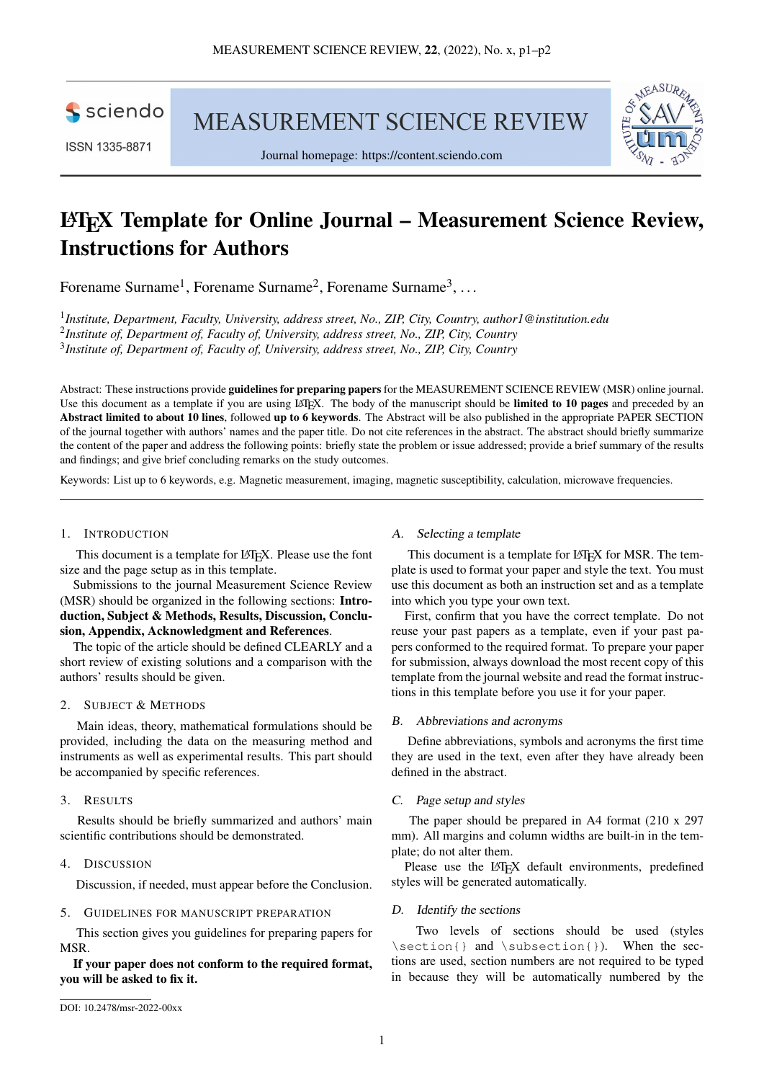sciendo

ISSN 1335-8871

**MEASUREMENT SCIENCE REVIEW** 





# LATEX Template for Online Journal – Measurement Science Review, Instructions for Authors

Forename Surname<sup>1</sup>, Forename Surname<sup>2</sup>, Forename Surname<sup>3</sup>, ...

1 *Institute, Department, Faculty, University, address street, No., ZIP, City, Country, [author1@institution.edu](mailto:author1@institution.edu)* 2 *Institute of, Department of, Faculty of, University, address street, No., ZIP, City, Country* 3 *Institute of, Department of, Faculty of, University, address street, No., ZIP, City, Country*

Abstract: These instructions provide guidelines for preparing papers for the MEASUREMENT SCIENCE REVIEW (MSR) online journal. Use this document as a template if you are using LAT<sub>EX</sub>. The body of the manuscript should be **limited to 10 pages** and preceded by an Abstract limited to about 10 lines, followed up to 6 keywords. The Abstract will be also published in the appropriate PAPER SECTION of the journal together with authors' names and the paper title. Do not cite references in the abstract. The abstract should briefly summarize the content of the paper and address the following points: briefly state the problem or issue addressed; provide a brief summary of the results and findings; and give brief concluding remarks on the study outcomes.

Keywords: List up to 6 keywords, e.g. Magnetic measurement, imaging, magnetic susceptibility, calculation, microwave frequencies.

#### 1. INTRODUCTION

This document is a template for LATEX. Please use the font size and the page setup as in this template.

Submissions to the journal Measurement Science Review (MSR) should be organized in the following sections: Introduction, Subject & Methods, Results, Discussion, Conclusion, Appendix, Acknowledgment and References.

The topic of the article should be defined CLEARLY and a short review of existing solutions and a comparison with the authors' results should be given.

#### 2. SUBJECT & METHODS

Main ideas, theory, mathematical formulations should be provided, including the data on the measuring method and instruments as well as experimental results. This part should be accompanied by specific references.

## 3. RESULTS

Results should be briefly summarized and authors' main scientific contributions should be demonstrated.

# 4. DISCUSSION

Discussion, if needed, must appear before the Conclusion.

#### 5. GUIDELINES FOR MANUSCRIPT PREPARATION

This section gives you guidelines for preparing papers for MSR.

# If your paper does not conform to the required format, you will be asked to fix it.

#### A. Selecting a template

This document is a template for LATEX for MSR. The template is used to format your paper and style the text. You must use this document as both an instruction set and as a template into which you type your own text.

First, confirm that you have the correct template. Do not reuse your past papers as a template, even if your past papers conformed to the required format. To prepare your paper for submission, always download the most recent copy of this template from the journal website and read the format instructions in this template before you use it for your paper.

## B. Abbreviations and acronyms

Define abbreviations, symbols and acronyms the first time they are used in the text, even after they have already been defined in the abstract.

## C. Page setup and styles

The paper should be prepared in A4 format (210 x 297 mm). All margins and column widths are built-in in the template; do not alter them.

Please use the LAT<sub>EX</sub> default environments, predefined styles will be generated automatically.

## D. Identify the sections

Two levels of sections should be used (styles \section{} and \subsection{}). When the sections are used, section numbers are not required to be typed in because they will be automatically numbered by the

[DOI: 10.2478/msr-2022-00xx](http://dx.doi.org/10.2478/msr-2022-00xx)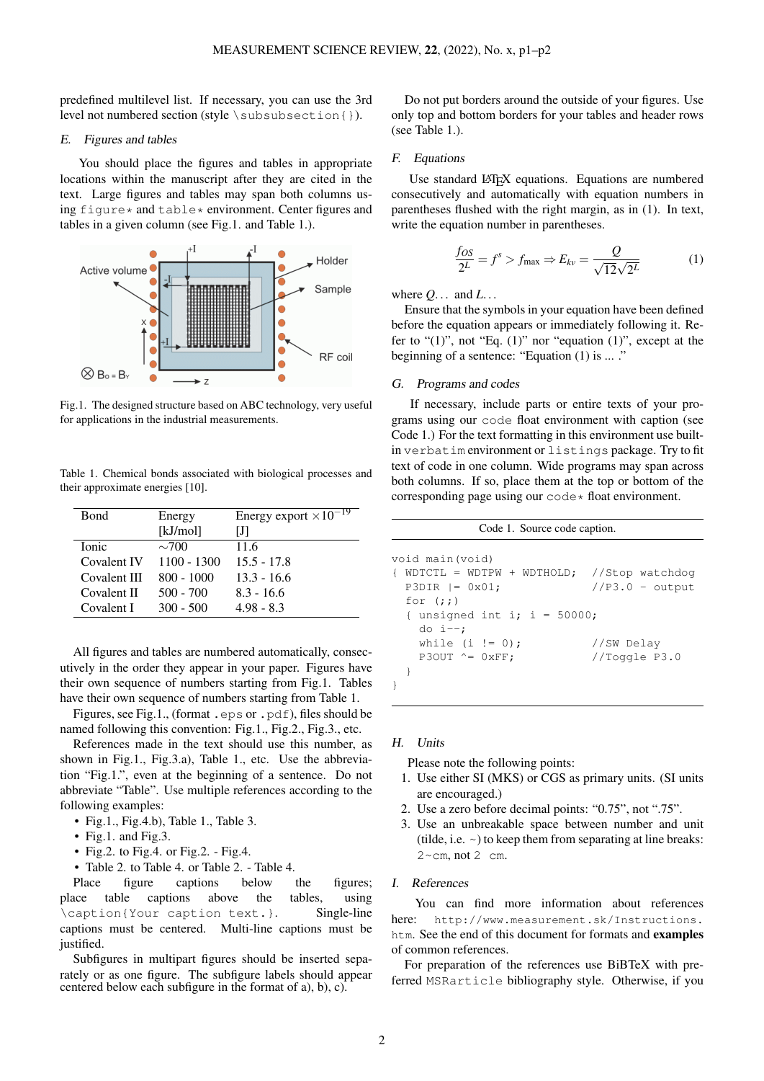predefined multilevel list. If necessary, you can use the 3rd level not numbered section (style \subsubsection{}).

#### E. Figures and tables

You should place the figures and tables in appropriate locations within the manuscript after they are cited in the text. Large figures and tables may span both columns using figure  $*$  and table  $*$  environment. Center figures and tables in a given column (see Fig[.1.](#page-1-0) and Table [1.](#page-1-1)).

<span id="page-1-0"></span>

Fig.1. The designed structure based on ABC technology, very useful for applications in the industrial measurements.

<span id="page-1-1"></span>Table 1. Chemical bonds associated with biological processes and their approximate energies [10].

| <b>B</b> ond | Energy        | Energy export $\times 10^{-19}$ |
|--------------|---------------|---------------------------------|
|              | [kJ/mol]      | IJI                             |
| <b>Ionic</b> | $\sim$ 700    | 11.6                            |
| Covalent IV  | $1100 - 1300$ | $15.5 - 17.8$                   |
| Covalent III | $800 - 1000$  | $13.3 - 16.6$                   |
| Covalent II  | $500 - 700$   | $8.3 - 16.6$                    |
| Covalent I   | $300 - 500$   | $4.98 - 8.3$                    |

All figures and tables are numbered automatically, consecutively in the order they appear in your paper. Figures have their own sequence of numbers starting from Fig[.1.](#page-1-0) Tables have their own sequence of numbers starting from Table [1.](#page-1-1)

Figures, see Fig[.1.](#page-1-0), (format .eps or .pdf), files should be named following this convention: Fig.1., Fig.2., Fig.3., etc.

References made in the text should use this number, as shown in Fig.1., Fig.3.a), Table 1., etc. Use the abbreviation "Fig.1.", even at the beginning of a sentence. Do not abbreviate "Table". Use multiple references according to the following examples:

- Fig.1., Fig.4.b), Table 1., Table 3.
- Fig.1. and Fig.3.
- Fig.2. to Fig.4. or Fig.2. Fig.4.
- Table 2. to Table 4. or Table 2. Table 4.

Place figure captions below the figures; place table captions above the tables, using \caption{Your caption text.}. Single-line captions must be centered. Multi-line captions must be justified.

Subfigures in multipart figures should be inserted separately or as one figure. The subfigure labels should appear centered below each subfigure in the format of a), b), c).

Do not put borders around the outside of your figures. Use only top and bottom borders for your tables and header rows (see Table [1.](#page-1-1)).

#### F. Equations

Use standard LATEX equations. Equations are numbered consecutively and automatically with equation numbers in parentheses flushed with the right margin, as in [\(1\)](#page-1-2). In text, write the equation number in parentheses.

<span id="page-1-2"></span>
$$
\frac{f_{OS}}{2^L} = f^s > f_{\text{max}} \Rightarrow E_{kv} = \frac{Q}{\sqrt{12}\sqrt{2^L}}\tag{1}
$$

where *Q*. . . and *L*. . .

Ensure that the symbols in your equation have been defined before the equation appears or immediately following it. Refer to " $(1)$ ", not "Eq.  $(1)$ " nor "equation  $(1)$ ", except at the beginning of a sentence: "Equation [\(1\)](#page-1-2) is ... ."

## G. Programs and codes

If necessary, include parts or entire texts of your programs using our code float environment with caption (see Code [1.](#page-1-3)) For the text formatting in this environment use builtin verbatim environment or listings package. Try to fit text of code in one column. Wide programs may span across both columns. If so, place them at the top or bottom of the corresponding page using our code\* float environment.

<span id="page-1-3"></span>

| Code 1. Source code caption.                     |                   |  |  |  |  |
|--------------------------------------------------|-------------------|--|--|--|--|
| void main(void)                                  |                   |  |  |  |  |
| $WDTCTL = WDTPW + WDTHOLD;$ //Stop watchdog<br>€ |                   |  |  |  |  |
| $P3DIR  = 0x01;$                                 | $//P3.0 - output$ |  |  |  |  |
| for $(i; j)$                                     |                   |  |  |  |  |
| { unsigned int i; i = $50000$ ;                  |                   |  |  |  |  |
| do $i--$ ;                                       |                   |  |  |  |  |
| while $(i != 0)$ ;                               | //SW Delay        |  |  |  |  |
| P3OUT $^{\wedge}$ = 0xFF;                        | //Toggle $P3.0$   |  |  |  |  |
|                                                  |                   |  |  |  |  |
|                                                  |                   |  |  |  |  |

# H. Units

Please note the following points:

- 1. Use either SI (MKS) or CGS as primary units. (SI units are encouraged.)
- 2. Use a zero before decimal points: "0.75", not ".75".
- 3. Use an unbreakable space between number and unit (tilde, i.e.  $\sim$ ) to keep them from separating at line breaks:  $2 \sim cm$ , not  $2 \text{ cm}$ .

## I. References

You can find more information about references here: [http://www.measurement.sk/Instructions.](http://www.measurement.sk/Instructions.htm) [htm](http://www.measurement.sk/Instructions.htm). See the end of this document for formats and examples of common references.

For preparation of the references use BiBTeX with preferred MSRarticle bibliography style. Otherwise, if you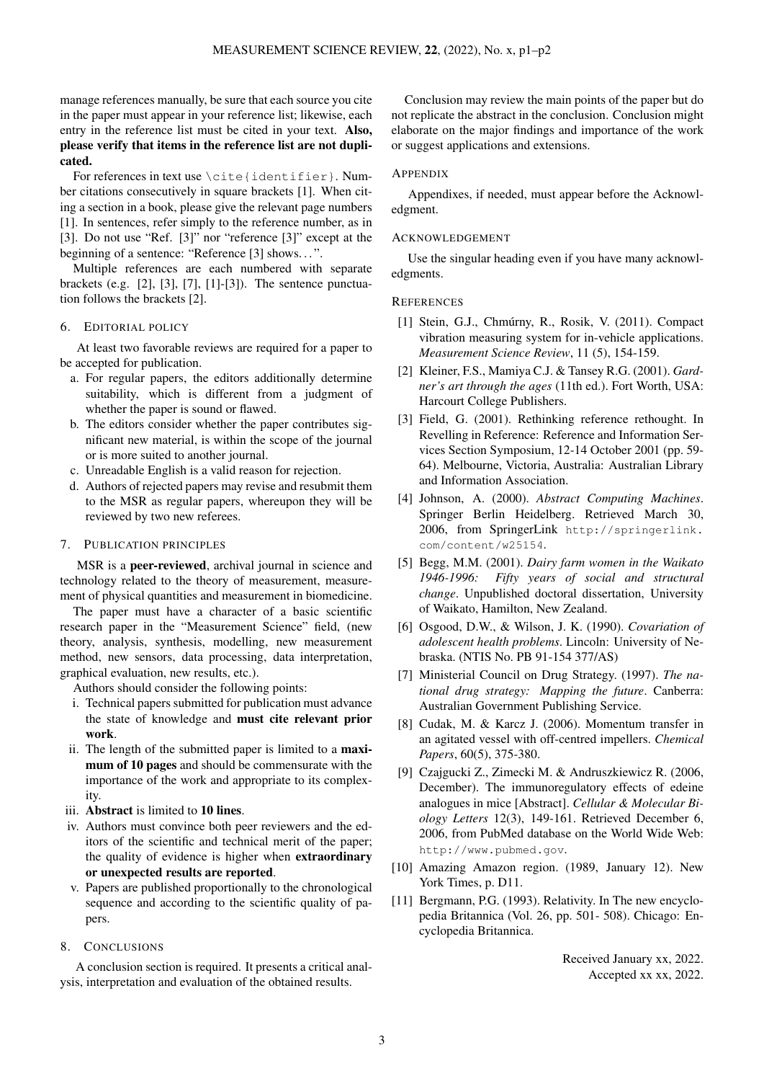manage references manually, be sure that each source you cite in the paper must appear in your reference list; likewise, each entry in the reference list must be cited in your text. Also, please verify that items in the reference list are not duplicated.

For references in text use \cite{identifier}. Number citations consecutively in square brackets [1]. When citing a section in a book, please give the relevant page numbers [1]. In sentences, refer simply to the reference number, as in [3]. Do not use "Ref. [3]" nor "reference [3]" except at the beginning of a sentence: "Reference [3] shows. . . ".

Multiple references are each numbered with separate brackets (e.g. [2], [3], [7], [1]-[3]). The sentence punctuation follows the brackets [2].

#### 6. EDITORIAL POLICY

At least two favorable reviews are required for a paper to be accepted for publication.

- a. For regular papers, the editors additionally determine suitability, which is different from a judgment of whether the paper is sound or flawed.
- b. The editors consider whether the paper contributes significant new material, is within the scope of the journal or is more suited to another journal.
- c. Unreadable English is a valid reason for rejection.
- d. Authors of rejected papers may revise and resubmit them to the MSR as regular papers, whereupon they will be reviewed by two new referees.

## 7. PUBLICATION PRINCIPLES

MSR is a peer-reviewed, archival journal in science and technology related to the theory of measurement, measurement of physical quantities and measurement in biomedicine.

The paper must have a character of a basic scientific research paper in the "Measurement Science" field, (new theory, analysis, synthesis, modelling, new measurement method, new sensors, data processing, data interpretation, graphical evaluation, new results, etc.).

Authors should consider the following points:

- i. Technical papers submitted for publication must advance the state of knowledge and must cite relevant prior work.
- ii. The length of the submitted paper is limited to a maximum of 10 pages and should be commensurate with the importance of the work and appropriate to its complexity.
- iii. Abstract is limited to 10 lines.
- iv. Authors must convince both peer reviewers and the editors of the scientific and technical merit of the paper; the quality of evidence is higher when extraordinary or unexpected results are reported.
- v. Papers are published proportionally to the chronological sequence and according to the scientific quality of papers.

#### 8. CONCLUSIONS

A conclusion section is required. It presents a critical analysis, interpretation and evaluation of the obtained results.

Conclusion may review the main points of the paper but do not replicate the abstract in the conclusion. Conclusion might elaborate on the major findings and importance of the work or suggest applications and extensions.

#### **APPENDIX**

Appendixes, if needed, must appear before the Acknowledgment.

#### **ACKNOWLEDGEMENT**

Use the singular heading even if you have many acknowledgments.

#### **REFERENCES**

- [1] Stein, G.J., Chmúrny, R., Rosik, V. (2011). Compact vibration measuring system for in-vehicle applications. *Measurement Science Review*, 11 (5), 154-159.
- [2] Kleiner, F.S., Mamiya C.J. & Tansey R.G. (2001). *Gardner's art through the ages* (11th ed.). Fort Worth, USA: Harcourt College Publishers.
- [3] Field, G. (2001). Rethinking reference rethought. In Revelling in Reference: Reference and Information Services Section Symposium, 12-14 October 2001 (pp. 59- 64). Melbourne, Victoria, Australia: Australian Library and Information Association.
- [4] Johnson, A. (2000). *Abstract Computing Machines*. Springer Berlin Heidelberg. Retrieved March 30, 2006, from SpringerLink [http://springerlink.](http://springerlink.com/content/w25154) [com/content/w25154](http://springerlink.com/content/w25154).
- [5] Begg, M.M. (2001). *Dairy farm women in the Waikato 1946-1996: Fifty years of social and structural change*. Unpublished doctoral dissertation, University of Waikato, Hamilton, New Zealand.
- [6] Osgood, D.W., & Wilson, J. K. (1990). *Covariation of adolescent health problems*. Lincoln: University of Nebraska. (NTIS No. PB 91-154 377/AS)
- [7] Ministerial Council on Drug Strategy. (1997). *The national drug strategy: Mapping the future*. Canberra: Australian Government Publishing Service.
- [8] Cudak, M. & Karcz J. (2006). Momentum transfer in an agitated vessel with off-centred impellers. *Chemical Papers*, 60(5), 375-380.
- [9] Czajgucki Z., Zimecki M. & Andruszkiewicz R. (2006, December). The immunoregulatory effects of edeine analogues in mice [Abstract]. *Cellular & Molecular Biology Letters* 12(3), 149-161. Retrieved December 6, 2006, from PubMed database on the World Wide Web: <http://www.pubmed.gov>.
- [10] Amazing Amazon region. (1989, January 12). New York Times, p. D11.
- [11] Bergmann, P.G. (1993). Relativity. In The new encyclopedia Britannica (Vol. 26, pp. 501- 508). Chicago: Encyclopedia Britannica.

Received January xx, 2022. Accepted xx xx, 2022.